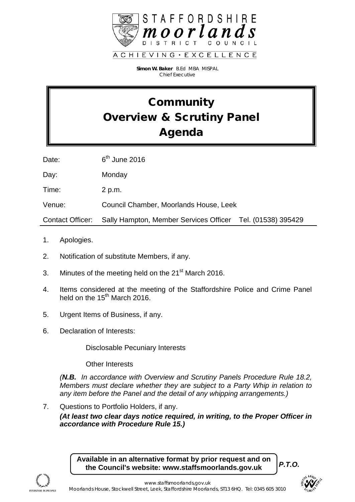

**Simon W. Baker** B.Ed MBA MISPAL *Chief Executive*

# **Community** Overview & Scrutiny Panel Agenda

Date: 6<sup>th</sup> June 2016

Day: Monday

Time: 2 p.m.

Venue: Council Chamber, Moorlands House, Leek

Contact Officer: Sally Hampton, Member Services Officer Tel. (01538) 395429

- 1. Apologies.
- 2. Notification of substitute Members, if any.
- 3. Minutes of the meeting held on the  $21<sup>st</sup>$  March 2016.
- 4. Items considered at the meeting of the Staffordshire Police and Crime Panel held on the  $15<sup>th</sup>$  March 2016.
- 5. Urgent Items of Business, if any.
- 6. Declaration of Interests:

Disclosable Pecuniary Interests

Other Interests

*(N.B. In accordance with Overview and Scrutiny Panels Procedure Rule 18.2, Members must declare whether they are subject to a Party Whip in relation to any item before the Panel and the detail of any whipping arrangements.)*

7. Questions to Portfolio Holders, if any.

*(At least two clear days notice required, in writing, to the Proper Officer in accordance with Procedure Rule 15.)*

**Available in an alternative format by prior request and on the Council's website: www.staffsmoorlands.gov.uk**

*P.T.O.*



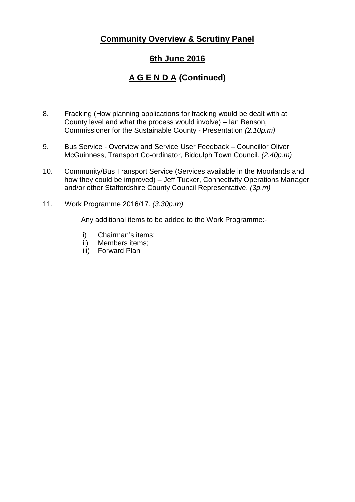### **Community Overview & Scrutiny Panel**

#### **6th June 2016**

## **A G E N D A (Continued)**

- 8. Fracking (How planning applications for fracking would be dealt with at County level and what the process would involve) – Ian Benson, Commissioner for the Sustainable County - Presentation *(2.10p.m)*
- 9. Bus Service *-* Overview and Service User Feedback Councillor Oliver McGuinness, Transport Co-ordinator, Biddulph Town Council. *(2.40p.m)*
- 10. Community/Bus Transport Service (Services available in the Moorlands and how they could be improved) – Jeff Tucker, Connectivity Operations Manager and/or other Staffordshire County Council Representative. *(3p.m)*
- 11. Work Programme 2016/17. *(3.30p.m)*

Any additional items to be added to the Work Programme:-

- i) Chairman's items;
- ii) Members items;
- iii) Forward Plan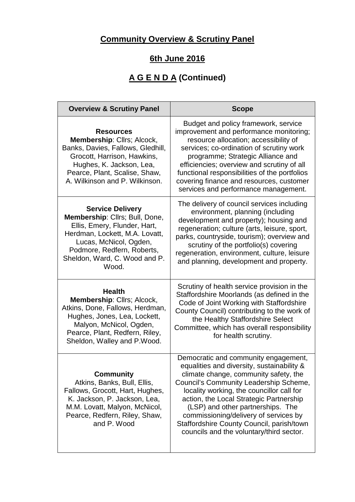## **Community Overview & Scrutiny Panel**

## **6th June 2016**

# **A G E N D A (Continued)**

| <b>Overview &amp; Scrutiny Panel</b>                                                                                                                                                                                          | <b>Scope</b>                                                                                                                                                                                                                                                                                                                                                                                                                         |
|-------------------------------------------------------------------------------------------------------------------------------------------------------------------------------------------------------------------------------|--------------------------------------------------------------------------------------------------------------------------------------------------------------------------------------------------------------------------------------------------------------------------------------------------------------------------------------------------------------------------------------------------------------------------------------|
| <b>Resources</b><br>Membership: Cllrs; Alcock,<br>Banks, Davies, Fallows, Gledhill,<br>Grocott, Harrison, Hawkins,<br>Hughes, K. Jackson, Lea,<br>Pearce, Plant, Scalise, Shaw,<br>A. Wilkinson and P. Wilkinson.             | Budget and policy framework, service<br>improvement and performance monitoring;<br>resource allocation; accessibility of<br>services; co-ordination of scrutiny work<br>programme; Strategic Alliance and<br>efficiencies; overview and scrutiny of all<br>functional responsibilities of the portfolios<br>covering finance and resources, customer<br>services and performance management.                                         |
| <b>Service Delivery</b><br>Membership: Cllrs; Bull, Done,<br>Ellis, Emery, Flunder, Hart,<br>Herdman, Lockett, M.A. Lovatt,<br>Lucas, McNicol, Ogden,<br>Podmore, Redfern, Roberts,<br>Sheldon, Ward, C. Wood and P.<br>Wood. | The delivery of council services including<br>environment, planning (including<br>development and property); housing and<br>regeneration; culture (arts, leisure, sport,<br>parks, countryside, tourism); overview and<br>scrutiny of the portfolio(s) covering<br>regeneration, environment, culture, leisure<br>and planning, development and property.                                                                            |
| <b>Health</b><br>Membership: Cllrs; Alcock,<br>Atkins, Done, Fallows, Herdman,<br>Hughes, Jones, Lea, Lockett,<br>Malyon, McNicol, Ogden,<br>Pearce, Plant, Redfern, Riley,<br>Sheldon, Walley and P.Wood.                    | Scrutiny of health service provision in the<br>Staffordshire Moorlands (as defined in the<br>Code of Joint Working with Staffordshire<br>County Council) contributing to the work of<br>the Healthy Staffordshire Select<br>Committee, which has overall responsibility<br>for health scrutiny.                                                                                                                                      |
| <b>Community</b><br>Atkins, Banks, Bull, Ellis,<br>Fallows, Grocott, Hart, Hughes,<br>K. Jackson, P. Jackson, Lea,<br>M.M. Lovatt, Malyon, McNicol,<br>Pearce, Redfern, Riley, Shaw,<br>and P. Wood                           | Democratic and community engagement,<br>equalities and diversity, sustainability &<br>climate change, community safety, the<br>Council's Community Leadership Scheme,<br>locality working, the councillor call for<br>action, the Local Strategic Partnership<br>(LSP) and other partnerships. The<br>commissioning/delivery of services by<br>Staffordshire County Council, parish/town<br>councils and the voluntary/third sector. |